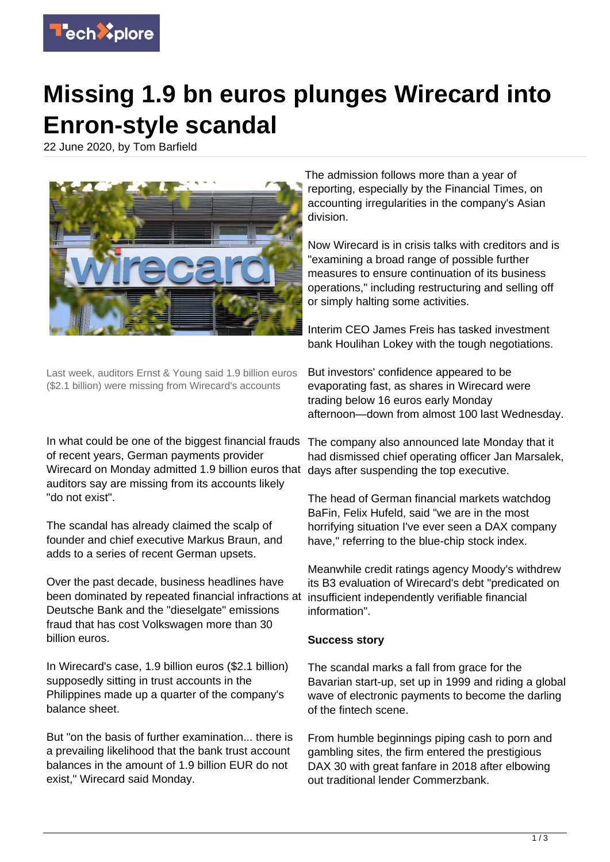

## **Missing 1.9 bn euros plunges Wirecard into Enron-style scandal**

22 June 2020, by Tom Barfield



Last week, auditors Ernst & Young said 1.9 billion euros (\$2.1 billion) were missing from Wirecard's accounts

In what could be one of the biggest financial frauds The company also announced late Monday that it of recent years, German payments provider Wirecard on Monday admitted 1.9 billion euros that days after suspending the top executive. auditors say are missing from its accounts likely "do not exist".

The scandal has already claimed the scalp of founder and chief executive Markus Braun, and adds to a series of recent German upsets.

Over the past decade, business headlines have been dominated by repeated financial infractions at Deutsche Bank and the "dieselgate" emissions fraud that has cost Volkswagen more than 30 billion euros.

In Wirecard's case, 1.9 billion euros (\$2.1 billion) supposedly sitting in trust accounts in the Philippines made up a quarter of the company's balance sheet.

But "on the basis of further examination... there is a prevailing likelihood that the bank trust account balances in the amount of 1.9 billion EUR do not exist," Wirecard said Monday.

The admission follows more than a year of reporting, especially by the Financial Times, on accounting irregularities in the company's Asian division.

Now Wirecard is in crisis talks with creditors and is "examining a broad range of possible further measures to ensure continuation of its business operations," including restructuring and selling off or simply halting some activities.

Interim CEO James Freis has tasked investment bank Houlihan Lokey with the tough negotiations.

But investors' confidence appeared to be evaporating fast, as shares in Wirecard were trading below 16 euros early Monday afternoon—down from almost 100 last Wednesday.

had dismissed chief operating officer Jan Marsalek,

The head of German financial markets watchdog BaFin, Felix Hufeld, said "we are in the most horrifying situation I've ever seen a DAX company have," referring to the blue-chip stock index.

Meanwhile credit ratings agency Moody's withdrew its B3 evaluation of Wirecard's debt "predicated on insufficient independently verifiable financial information".

## **Success story**

The scandal marks a fall from grace for the Bavarian start-up, set up in 1999 and riding a global wave of electronic payments to become the darling of the fintech scene.

From humble beginnings piping cash to porn and gambling sites, the firm entered the prestigious DAX 30 with great fanfare in 2018 after elbowing out traditional lender Commerzbank.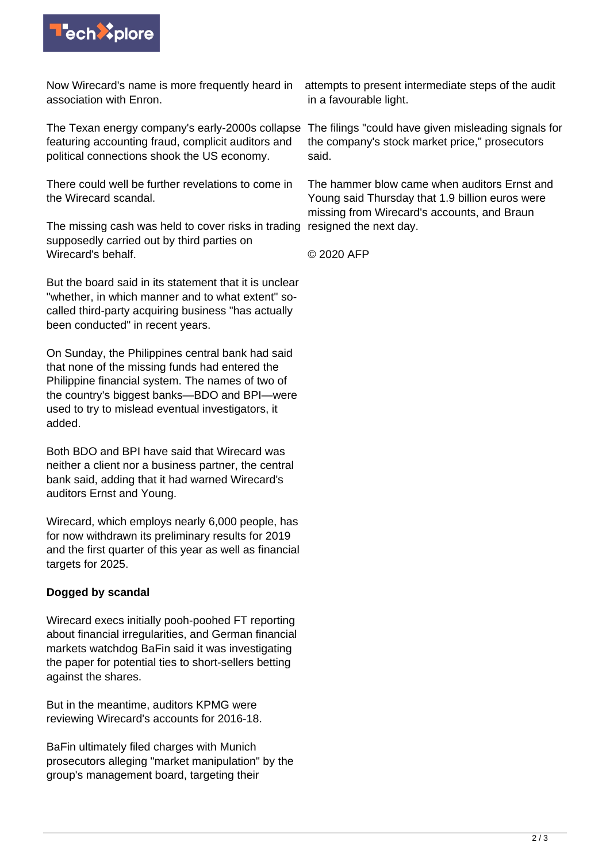

Now Wirecard's name is more frequently heard in association with Enron.

The Texan energy company's early-2000s collapse The filings "could have given misleading signals for featuring accounting fraud, complicit auditors and political connections shook the US economy.

There could well be further revelations to come in the Wirecard scandal.

The missing cash was held to cover risks in trading resigned the next day. supposedly carried out by third parties on Wirecard's behalf.

But the board said in its statement that it is unclear "whether, in which manner and to what extent" socalled third-party acquiring business "has actually been conducted" in recent years.

On Sunday, the Philippines central bank had said that none of the missing funds had entered the Philippine financial system. The names of two of the country's biggest banks—BDO and BPI—were used to try to mislead eventual investigators, it added.

Both BDO and BPI have said that Wirecard was neither a client nor a business partner, the central bank said, adding that it had warned Wirecard's auditors Ernst and Young.

Wirecard, which employs nearly 6,000 people, has for now withdrawn its preliminary results for 2019 and the first quarter of this year as well as financial targets for 2025.

## **Dogged by scandal**

Wirecard execs initially pooh-poohed FT reporting about financial irregularities, and German financial markets watchdog BaFin said it was investigating the paper for potential ties to short-sellers betting against the shares.

But in the meantime, auditors KPMG were reviewing Wirecard's accounts for 2016-18.

BaFin ultimately filed charges with Munich prosecutors alleging "market manipulation" by the group's management board, targeting their

attempts to present intermediate steps of the audit in a favourable light.

the company's stock market price," prosecutors said.

The hammer blow came when auditors Ernst and Young said Thursday that 1.9 billion euros were missing from Wirecard's accounts, and Braun

© 2020 AFP